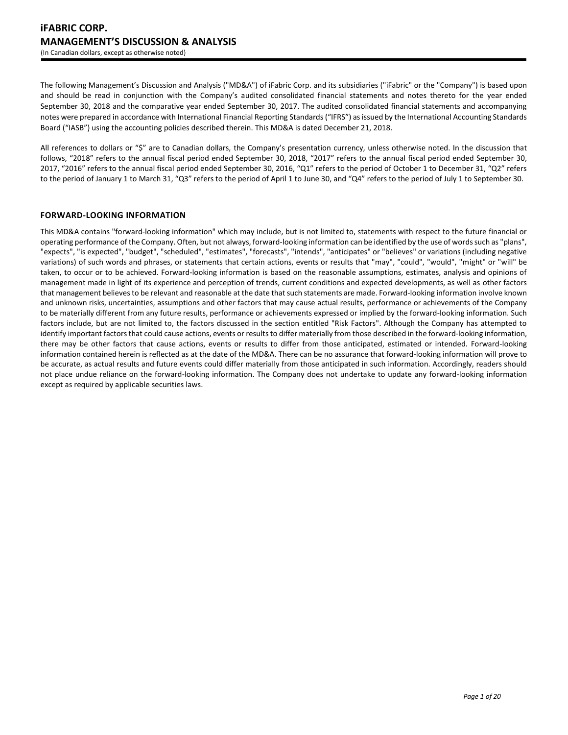The following Management's Discussion and Analysis ("MD&A") of iFabric Corp. and its subsidiaries ("iFabric" or the "Company") is based upon and should be read in conjunction with the Company's audited consolidated financial statements and notes thereto for the year ended September 30, 2018 and the comparative year ended September 30, 2017. The audited consolidated financial statements and accompanying notes were prepared in accordance with International Financial Reporting Standards ("IFRS") as issued by the International Accounting Standards Board ("IASB") using the accounting policies described therein. This MD&A is dated December 21, 2018.

All references to dollars or "\$" are to Canadian dollars, the Company's presentation currency, unless otherwise noted. In the discussion that follows, "2018" refers to the annual fiscal period ended September 30, 2018, "2017" refers to the annual fiscal period ended September 30, 2017, "2016" refers to the annual fiscal period ended September 30, 2016, "Q1" refers to the period of October 1 to December 31, "Q2" refers to the period of January 1 to March 31, "Q3" refers to the period of April 1 to June 30, and "Q4" refers to the period of July 1 to September 30.

# **FORWARD-LOOKING INFORMATION**

This MD&A contains "forward-looking information" which may include, but is not limited to, statements with respect to the future financial or operating performance of the Company. Often, but not always, forward-looking information can be identified by the use of words such as "plans", "expects", "is expected", "budget", "scheduled", "estimates", "forecasts", "intends", "anticipates" or "believes" or variations (including negative variations) of such words and phrases, or statements that certain actions, events or results that "may", "could", "would", "might" or "will" be taken, to occur or to be achieved. Forward-looking information is based on the reasonable assumptions, estimates, analysis and opinions of management made in light of its experience and perception of trends, current conditions and expected developments, as well as other factors that management believes to be relevant and reasonable at the date that such statements are made. Forward-looking information involve known and unknown risks, uncertainties, assumptions and other factors that may cause actual results, performance or achievements of the Company to be materially different from any future results, performance or achievements expressed or implied by the forward-looking information. Such factors include, but are not limited to, the factors discussed in the section entitled "Risk Factors". Although the Company has attempted to identify important factors that could cause actions, events or results to differ materially from those described in the forward-looking information, there may be other factors that cause actions, events or results to differ from those anticipated, estimated or intended. Forward-looking information contained herein is reflected as at the date of the MD&A. There can be no assurance that forward-looking information will prove to be accurate, as actual results and future events could differ materially from those anticipated in such information. Accordingly, readers should not place undue reliance on the forward-looking information. The Company does not undertake to update any forward-looking information except as required by applicable securities laws.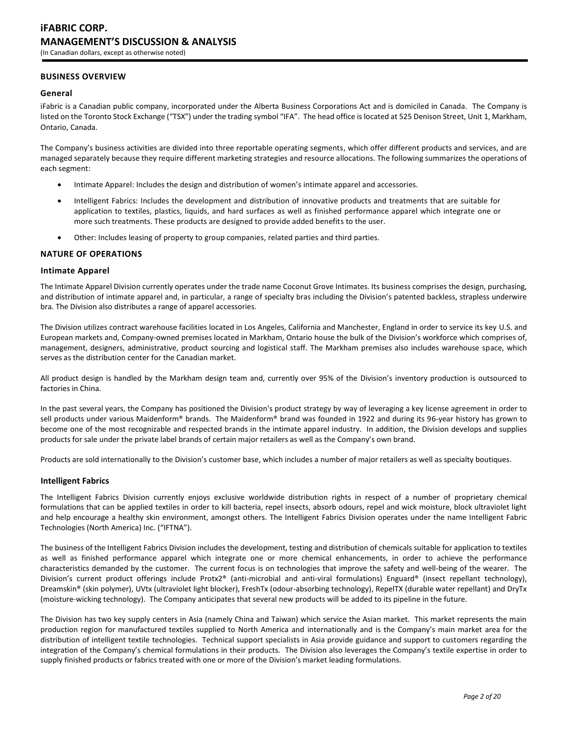# **BUSINESS OVERVIEW**

## **General**

iFabric is a Canadian public company, incorporated under the Alberta Business Corporations Act and is domiciled in Canada. The Company is listed on the Toronto Stock Exchange ("TSX") under the trading symbol "IFA". The head office is located at 525 Denison Street, Unit 1, Markham, Ontario, Canada.

The Company's business activities are divided into three reportable operating segments, which offer different products and services, and are managed separately because they require different marketing strategies and resource allocations. The following summarizes the operations of each segment:

- Intimate Apparel: Includes the design and distribution of women's intimate apparel and accessories.
- Intelligent Fabrics: Includes the development and distribution of innovative products and treatments that are suitable for application to textiles, plastics, liquids, and hard surfaces as well as finished performance apparel which integrate one or more such treatments. These products are designed to provide added benefits to the user.
- Other: Includes leasing of property to group companies, related parties and third parties.

## **NATURE OF OPERATIONS**

## **Intimate Apparel**

The Intimate Apparel Division currently operates under the trade name Coconut Grove Intimates. Its business comprises the design, purchasing, and distribution of intimate apparel and, in particular, a range of specialty bras including the Division's patented backless, strapless underwire bra. The Division also distributes a range of apparel accessories.

The Division utilizes contract warehouse facilities located in Los Angeles, California and Manchester, England in order to service its key U.S. and European markets and, Company-owned premises located in Markham, Ontario house the bulk of the Division's workforce which comprises of, management, designers, administrative, product sourcing and logistical staff. The Markham premises also includes warehouse space, which serves as the distribution center for the Canadian market.

All product design is handled by the Markham design team and, currently over 95% of the Division's inventory production is outsourced to factories in China.

In the past several years, the Company has positioned the Division's product strategy by way of leveraging a key license agreement in order to sell products under various Maidenform® brands. The Maidenform® brand was founded in 1922 and during its 96-year history has grown to become one of the most recognizable and respected brands in the intimate apparel industry. In addition, the Division develops and supplies products for sale under the private label brands of certain major retailers as well as the Company's own brand.

Products are sold internationally to the Division's customer base, which includes a number of major retailers as well as specialty boutiques.

# **Intelligent Fabrics**

The Intelligent Fabrics Division currently enjoys exclusive worldwide distribution rights in respect of a number of proprietary chemical formulations that can be applied textiles in order to kill bacteria, repel insects, absorb odours, repel and wick moisture, block ultraviolet light and help encourage a healthy skin environment, amongst others. The Intelligent Fabrics Division operates under the name Intelligent Fabric Technologies (North America) Inc. ("IFTNA").

The business of the Intelligent Fabrics Division includes the development, testing and distribution of chemicals suitable for application to textiles as well as finished performance apparel which integrate one or more chemical enhancements, in order to achieve the performance characteristics demanded by the customer. The current focus is on technologies that improve the safety and well-being of the wearer. The Division's current product offerings include Protx2® (anti-microbial and anti-viral formulations) Enguard® (insect repellant technology), Dreamskin® (skin polymer), UVtx (ultraviolet light blocker), FreshTx (odour-absorbing technology), RepelTX (durable water repellant) and DryTx (moisture-wicking technology). The Company anticipates that several new products will be added to its pipeline in the future.

The Division has two key supply centers in Asia (namely China and Taiwan) which service the Asian market. This market represents the main production region for manufactured textiles supplied to North America and internationally and is the Company's main market area for the distribution of intelligent textile technologies. Technical support specialists in Asia provide guidance and support to customers regarding the integration of the Company's chemical formulations in their products. The Division also leverages the Company's textile expertise in order to supply finished products or fabrics treated with one or more of the Division's market leading formulations.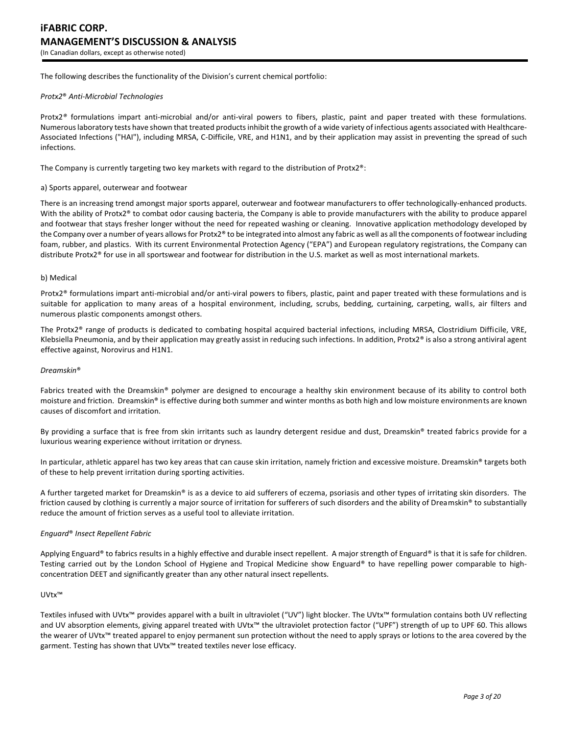The following describes the functionality of the Division's current chemical portfolio:

#### *Protx2*® *Anti-Microbial Technologies*

Protx2*®* formulations impart anti-microbial and/or anti-viral powers to fibers, plastic, paint and paper treated with these formulations. Numerous laboratory tests have shown that treated products inhibit the growth of a wide variety of infectious agents associated with Healthcare-Associated Infections ("HAI"), including MRSA, C-Difficile, VRE, and H1N1, and by their application may assist in preventing the spread of such infections.

The Company is currently targeting two key markets with regard to the distribution of Protx2®:

#### a) Sports apparel, outerwear and footwear

There is an increasing trend amongst major sports apparel, outerwear and footwear manufacturers to offer technologically-enhanced products. With the ability of Protx2® to combat odor causing bacteria, the Company is able to provide manufacturers with the ability to produce apparel and footwear that stays fresher longer without the need for repeated washing or cleaning. Innovative application methodology developed by the Company over a number of years allows for Protx2® to be integrated into almost any fabric as well as all the components of footwear including foam, rubber, and plastics. With its current Environmental Protection Agency ("EPA") and European regulatory registrations, the Company can distribute Protx2® for use in all sportswear and footwear for distribution in the U.S. market as well as most international markets.

#### b) Medical

Protx2® formulations impart anti-microbial and/or anti-viral powers to fibers, plastic, paint and paper treated with these formulations and is suitable for application to many areas of a hospital environment, including, scrubs, bedding, curtaining, carpeting, walls, air filters and numerous plastic components amongst others.

The Protx2® range of products is dedicated to combating hospital acquired bacterial infections, including MRSA, Clostridium Difficile, VRE, Klebsiella Pneumonia, and by their application may greatly assist in reducing such infections. In addition, Protx2® is also a strong antiviral agent effective against, Norovirus and H1N1.

#### *Dreamskin*®

Fabrics treated with the Dreamskin® polymer are designed to encourage a healthy skin environment because of its ability to control both moisture and friction. Dreamskin® is effective during both summer and winter months as both high and low moisture environments are known causes of discomfort and irritation.

By providing a surface that is free from skin irritants such as laundry detergent residue and dust, Dreamskin® treated fabrics provide for a luxurious wearing experience without irritation or dryness.

In particular, athletic apparel has two key areas that can cause skin irritation, namely friction and excessive moisture. Dreamskin® targets both of these to help prevent irritation during sporting activities.

A further targeted market for Dreamskin® is as a device to aid sufferers of eczema, psoriasis and other types of irritating skin disorders. The friction caused by clothing is currently a major source of irritation for sufferers of such disorders and the ability of Dreamskin® to substantially reduce the amount of friction serves as a useful tool to alleviate irritation.

## *Enguard*® *Insect Repellent Fabric*

Applying Enguard® to fabrics results in a highly effective and durable insect repellent. A major strength of Enguard® is that it is safe for children. Testing carried out by the London School of Hygiene and Tropical Medicine show Enguard® to have repelling power comparable to highconcentration DEET and significantly greater than any other natural insect repellents.

#### UVtx™

Textiles infused with UVtx™ provides apparel with a built in ultraviolet ("UV") light blocker. The UVtx™ formulation contains both UV reflecting and UV absorption elements, giving apparel treated with UVtx™ the ultraviolet protection factor ("UPF") strength of up to UPF 60. This allows the wearer of UVtx™ treated apparel to enjoy permanent sun protection without the need to apply sprays or lotions to the area covered by the garment. Testing has shown that UVtx<sup>™</sup> treated textiles never lose efficacy.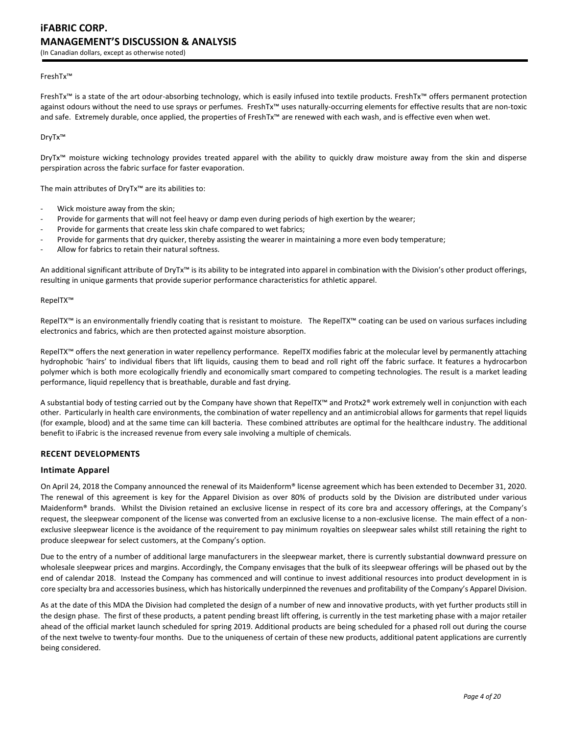## FreshTx™

FreshTx™ is a state of the art odour-absorbing technology, which is easily infused into textile products. FreshTx™ offers permanent protection against odours without the need to use sprays or perfumes. FreshTx™ uses naturally-occurring elements for effective results that are non-toxic and safe. Extremely durable, once applied, the properties of FreshTx™ are renewed with each wash, and is effective even when wet.

DryTx™

DryTx™ moisture wicking technology provides treated apparel with the ability to quickly draw moisture away from the skin and disperse perspiration across the fabric surface for faster evaporation.

The main attributes of DryTx™ are its abilities to:

- Wick moisture away from the skin;
- Provide for garments that will not feel heavy or damp even during periods of high exertion by the wearer;
- Provide for garments that create less skin chafe compared to wet fabrics;
- Provide for garments that dry quicker, thereby assisting the wearer in maintaining a more even body temperature;
- Allow for fabrics to retain their natural softness.

An additional significant attribute of DryTx<sup>™</sup> is its ability to be integrated into apparel in combination with the Division's other product offerings, resulting in unique garments that provide superior performance characteristics for athletic apparel.

## RepelTX™

RepelTX<sup>™</sup> is an environmentally friendly coating that is resistant to moisture. The RepelTX<sup>™</sup> coating can be used on various surfaces including electronics and fabrics, which are then protected against moisture absorption.

RepelTX™ offers the next generation in water repellency performance. RepelTX modifies fabric at the molecular level by permanently attaching hydrophobic 'hairs' to individual fibers that lift liquids, causing them to bead and roll right off the fabric surface. It features a hydrocarbon polymer which is both more ecologically friendly and economically smart compared to competing technologies. The result is a market leading performance, liquid repellency that is breathable, durable and fast drying.

A substantial body of testing carried out by the Company have shown that RepelTX™ and Protx2® work extremely well in conjunction with each other. Particularly in health care environments, the combination of water repellency and an antimicrobial allows for garments that repel liquids (for example, blood) and at the same time can kill bacteria. These combined attributes are optimal for the healthcare industry. The additional benefit to iFabric is the increased revenue from every sale involving a multiple of chemicals.

## **RECENT DEVELOPMENTS**

## **Intimate Apparel**

On April 24, 2018 the Company announced the renewal of its Maidenform® license agreement which has been extended to December 31, 2020. The renewal of this agreement is key for the Apparel Division as over 80% of products sold by the Division are distributed under various Maidenform® brands. Whilst the Division retained an exclusive license in respect of its core bra and accessory offerings, at the Company's request, the sleepwear component of the license was converted from an exclusive license to a non-exclusive license. The main effect of a nonexclusive sleepwear licence is the avoidance of the requirement to pay minimum royalties on sleepwear sales whilst still retaining the right to produce sleepwear for select customers, at the Company's option.

Due to the entry of a number of additional large manufacturers in the sleepwear market, there is currently substantial downward pressure on wholesale sleepwear prices and margins. Accordingly, the Company envisages that the bulk of its sleepwear offerings will be phased out by the end of calendar 2018. Instead the Company has commenced and will continue to invest additional resources into product development in is core specialty bra and accessories business, which has historically underpinned the revenues and profitability of the Company's Apparel Division.

As at the date of this MDA the Division had completed the design of a number of new and innovative products, with yet further products still in the design phase. The first of these products, a patent pending breast lift offering, is currently in the test marketing phase with a major retailer ahead of the official market launch scheduled for spring 2019. Additional products are being scheduled for a phased roll out during the course of the next twelve to twenty-four months. Due to the uniqueness of certain of these new products, additional patent applications are currently being considered.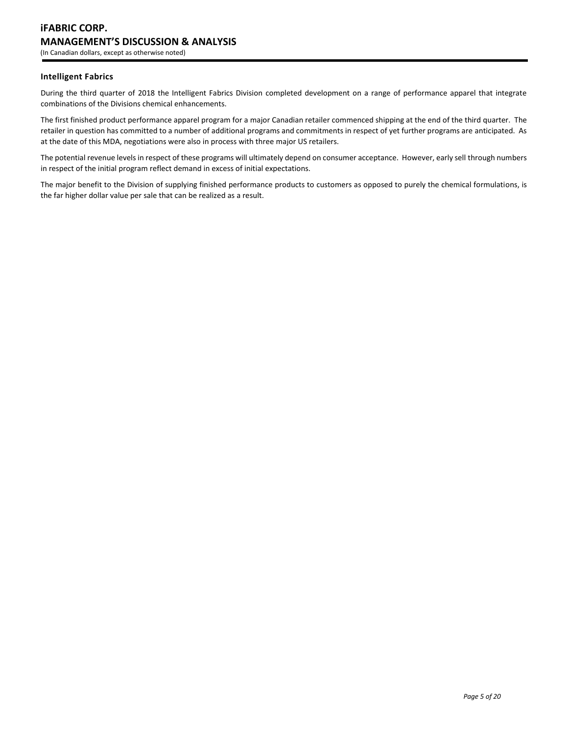# **Intelligent Fabrics**

During the third quarter of 2018 the Intelligent Fabrics Division completed development on a range of performance apparel that integrate combinations of the Divisions chemical enhancements.

The first finished product performance apparel program for a major Canadian retailer commenced shipping at the end of the third quarter. The retailer in question has committed to a number of additional programs and commitments in respect of yet further programs are anticipated. As at the date of this MDA, negotiations were also in process with three major US retailers.

The potential revenue levels in respect of these programs will ultimately depend on consumer acceptance. However, early sell through numbers in respect of the initial program reflect demand in excess of initial expectations.

The major benefit to the Division of supplying finished performance products to customers as opposed to purely the chemical formulations, is the far higher dollar value per sale that can be realized as a result.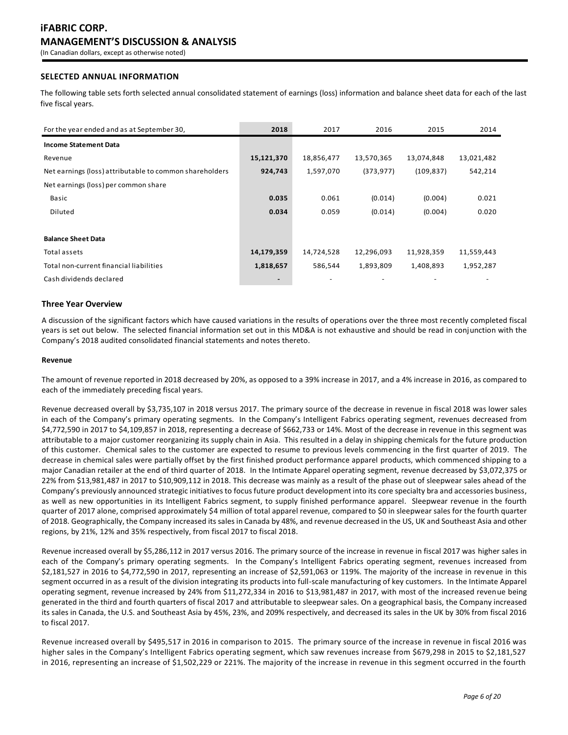# **SELECTED ANNUAL INFORMATION**

The following table sets forth selected annual consolidated statement of earnings (loss) information and balance sheet data for each of the last five fiscal years.

| For the year ended and as at September 30,              | 2018                     | 2017       | 2016       | 2015       | 2014       |
|---------------------------------------------------------|--------------------------|------------|------------|------------|------------|
| <b>Income Statement Data</b>                            |                          |            |            |            |            |
| Revenue                                                 | 15,121,370               | 18,856,477 | 13,570,365 | 13,074,848 | 13,021,482 |
| Net earnings (loss) attributable to common shareholders | 924,743                  | 1,597,070  | (373, 977) | (109, 837) | 542,214    |
| Net earnings (loss) per common share                    |                          |            |            |            |            |
| Basic                                                   | 0.035                    | 0.061      | (0.014)    | (0.004)    | 0.021      |
| Diluted                                                 | 0.034                    | 0.059      | (0.014)    | (0.004)    | 0.020      |
|                                                         |                          |            |            |            |            |
| <b>Balance Sheet Data</b>                               |                          |            |            |            |            |
| Total assets                                            | 14,179,359               | 14,724,528 | 12,296,093 | 11,928,359 | 11,559,443 |
| Total non-current financial liabilities                 | 1,818,657                | 586,544    | 1,893,809  | 1,408,893  | 1,952,287  |
| Cash dividends declared                                 | $\overline{\phantom{0}}$ |            |            |            |            |

## **Three Year Overview**

A discussion of the significant factors which have caused variations in the results of operations over the three most recently completed fiscal years is set out below. The selected financial information set out in this MD&A is not exhaustive and should be read in conjunction with the Company's 2018 audited consolidated financial statements and notes thereto.

#### **Revenue**

The amount of revenue reported in 2018 decreased by 20%, as opposed to a 39% increase in 2017, and a 4% increase in 2016, as compared to each of the immediately preceding fiscal years.

Revenue decreased overall by \$3,735,107 in 2018 versus 2017. The primary source of the decrease in revenue in fiscal 2018 was lower sales in each of the Company's primary operating segments. In the Company's Intelligent Fabrics operating segment, revenues decreased from \$4,772,590 in 2017 to \$4,109,857 in 2018, representing a decrease of \$662,733 or 14%. Most of the decrease in revenue in this segment was attributable to a major customer reorganizing its supply chain in Asia. This resulted in a delay in shipping chemicals for the future production of this customer. Chemical sales to the customer are expected to resume to previous levels commencing in the first quarter of 2019. The decrease in chemical sales were partially offset by the first finished product performance apparel products, which commenced shipping to a major Canadian retailer at the end of third quarter of 2018. In the Intimate Apparel operating segment, revenue decreased by \$3,072,375 or 22% from \$13,981,487 in 2017 to \$10,909,112 in 2018. This decrease was mainly as a result of the phase out of sleepwear sales ahead of the Company's previously announced strategic initiatives to focus future product development into its core specialty bra and accessories business, as well as new opportunities in its Intelligent Fabrics segment, to supply finished performance apparel. Sleepwear revenue in the fourth quarter of 2017 alone, comprised approximately \$4 million of total apparel revenue, compared to \$0 in sleepwear sales for the fourth quarter of 2018. Geographically, the Company increased its sales in Canada by 48%, and revenue decreased in the US, UK and Southeast Asia and other regions, by 21%, 12% and 35% respectively, from fiscal 2017 to fiscal 2018.

Revenue increased overall by \$5,286,112 in 2017 versus 2016. The primary source of the increase in revenue in fiscal 2017 was higher sales in each of the Company's primary operating segments. In the Company's Intelligent Fabrics operating segment, revenues increased from \$2,181,527 in 2016 to \$4,772,590 in 2017, representing an increase of \$2,591,063 or 119%. The majority of the increase in revenue in this segment occurred in as a result of the division integrating its products into full-scale manufacturing of key customers. In the Intimate Apparel operating segment, revenue increased by 24% from \$11,272,334 in 2016 to \$13,981,487 in 2017, with most of the increased revenue being generated in the third and fourth quarters of fiscal 2017 and attributable to sleepwear sales. On a geographical basis, the Company increased its sales in Canada, the U.S. and Southeast Asia by 45%, 23%, and 209% respectively, and decreased its sales in the UK by 30% from fiscal 2016 to fiscal 2017.

Revenue increased overall by \$495,517 in 2016 in comparison to 2015. The primary source of the increase in revenue in fiscal 2016 was higher sales in the Company's Intelligent Fabrics operating segment, which saw revenues increase from \$679,298 in 2015 to \$2,181,527 in 2016, representing an increase of \$1,502,229 or 221%. The majority of the increase in revenue in this segment occurred in the fourth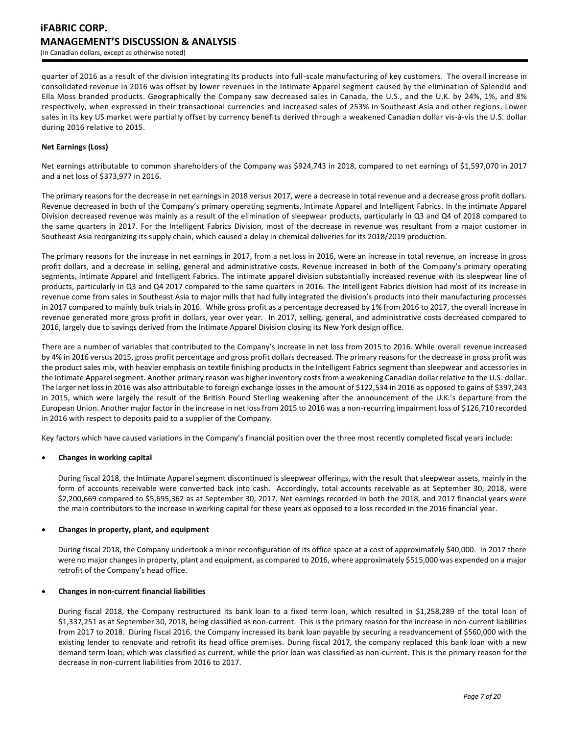quarter of 2016 as a result of the division integrating its products into full-scale manufacturing of key customers. The overall increase in consolidated revenue in 2016 was offset by lower revenues in the Intimate Apparel segment caused by the elimination of Splendid and Ella Moss branded products. Geographically the Company saw decreased sales in Canada, the U.S., and the U.K. by 24%, 1%, and 8% respectively, when expressed in their transactional currencies and increased sales of 253% in Southeast Asia and other regions. Lower sales in its key US market were partially offset by currency benefits derived through a weakened Canadian dollar vis-à-vis the U.S. dollar during 2016 relative to 2015.

## **Net Earnings (Loss)**

Net earnings attributable to common shareholders of the Company was \$924,743 in 2018, compared to net earnings of \$1,597,070 in 2017 and a net loss of \$373,977 in 2016.

The primary reasons for the decrease in net earnings in 2018 versus 2017, were a decrease in total revenue and a decrease gross profit dollars. Revenue decreased in both of the Company's primary operating segments, Intimate Apparel and Intelligent Fabrics. In the intimate Apparel Division decreased revenue was mainly as a result of the elimination of sleepwear products, particularly in Q3 and Q4 of 2018 compared to the same quarters in 2017. For the Intelligent Fabrics Division, most of the decrease in revenue was resultant from a major customer in Southeast Asia reorganizing its supply chain, which caused a delay in chemical deliveries for its 2018/2019 production.

The primary reasons for the increase in net earnings in 2017, from a net loss in 2016, were an increase in total revenue, an increase in gross profit dollars, and a decrease in selling, general and administrative costs. Revenue increased in both of the Company's primary operating segments, Intimate Apparel and Intelligent Fabrics. The intimate apparel division substantially increased revenue with its sleepwear line of products, particularly in Q3 and Q4 2017 compared to the same quarters in 2016. The Intelligent Fabrics division had most of its increase in revenue come from sales in Southeast Asia to major mills that had fully integrated the division's products into their manufacturing processes in 2017 compared to mainly bulk trials in 2016. While gross profit as a percentage decreased by 1% from 2016 to 2017, the overall increase in revenue generated more gross profit in dollars, year over year. In 2017, selling, general, and administrative costs decreased compared to 2016, largely due to savings derived from the Intimate Apparel Division closing its New York design office.

There are a number of variables that contributed to the Company's increase in net loss from 2015 to 2016. While overall revenue increased by 4% in 2016 versus 2015, gross profit percentage and gross profit dollars decreased. The primary reasons for the decrease in gross profit was the product sales mix, with heavier emphasis on textile finishing products in the Intelligent Fabrics segment than sleepwear and accessories in the Intimate Apparel segment. Another primary reason was higher inventory costs from a weakening Canadian dollar relative to the U.S. dollar. The larger net loss in 2016 was also attributable to foreign exchange losses in the amount of \$122,534 in 2016 as opposed to gains of \$397,243 in 2015, which were largely the result of the British Pound Sterling weakening after the announcement of the U.K.'s departure from the European Union. Another major factor in the increase in net loss from 2015 to 2016 was a non-recurring impairment loss of \$126,710 recorded in 2016 with respect to deposits paid to a supplier of the Company.

Key factors which have caused variations in the Company's financial position over the three most recently completed fiscal years include:

## • **Changes in working capital**

During fiscal 2018, the Intimate Apparel segment discontinued is sleepwear offerings, with the result that sleepwear assets, mainly in the form of accounts receivable were converted back into cash. Accordingly, total accounts receivable as at September 30, 2018, were \$2,200,669 compared to \$5,695,362 as at September 30, 2017. Net earnings recorded in both the 2018, and 2017 financial years were the main contributors to the increase in working capital for these years as opposed to a loss recorded in the 2016 financial year.

## • **Changes in property, plant, and equipment**

During fiscal 2018, the Company undertook a minor reconfiguration of its office space at a cost of approximately \$40,000. In 2017 there were no major changes in property, plant and equipment, as compared to 2016, where approximately \$515,000 was expended on a major retrofit of the Company's head office.

## • **Changes in non-current financial liabilities**

During fiscal 2018, the Company restructured its bank loan to a fixed term loan, which resulted in \$1,258,289 of the total loan of \$1,337,251 as at September 30, 2018, being classified as non-current. This is the primary reason for the increase in non-current liabilities from 2017 to 2018. During fiscal 2016, the Company increased its bank loan payable by securing a readvancement of \$560,000 with the existing lender to renovate and retrofit its head office premises. During fiscal 2017, the company replaced this bank loan with a new demand term loan, which was classified as current, while the prior loan was classified as non-current. This is the primary reason for the decrease in non-current liabilities from 2016 to 2017.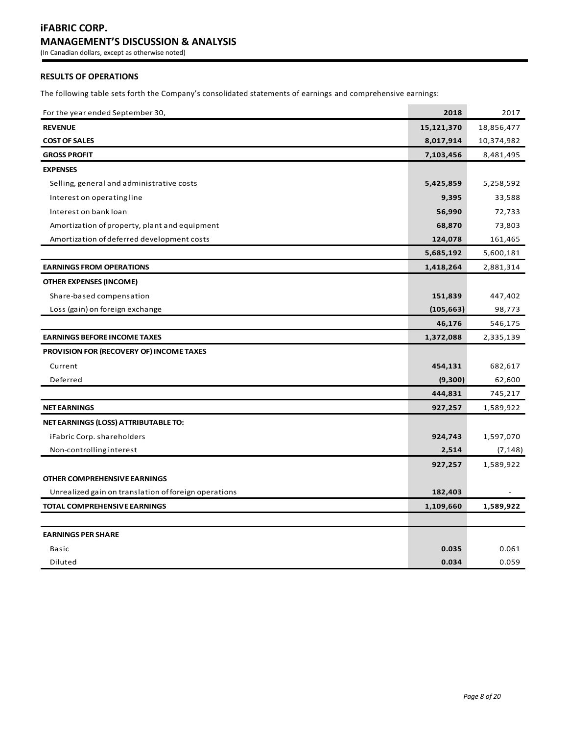# **RESULTS OF OPERATIONS**

The following table sets forth the Company's consolidated statements of earnings and comprehensive earnings:

| For the year ended September 30,                     | 2018       | 2017       |
|------------------------------------------------------|------------|------------|
| <b>REVENUE</b>                                       | 15,121,370 | 18,856,477 |
| <b>COST OF SALES</b>                                 | 8,017,914  | 10,374,982 |
| <b>GROSS PROFIT</b>                                  | 7,103,456  | 8,481,495  |
| <b>EXPENSES</b>                                      |            |            |
| Selling, general and administrative costs            | 5,425,859  | 5,258,592  |
| Interest on operating line                           | 9,395      | 33,588     |
| Interest on bank loan                                | 56,990     | 72,733     |
| Amortization of property, plant and equipment        | 68,870     | 73,803     |
| Amortization of deferred development costs           | 124,078    | 161,465    |
|                                                      | 5,685,192  | 5,600,181  |
| <b>EARNINGS FROM OPERATIONS</b>                      | 1,418,264  | 2,881,314  |
| <b>OTHER EXPENSES (INCOME)</b>                       |            |            |
| Share-based compensation                             | 151,839    | 447,402    |
| Loss (gain) on foreign exchange                      | (105, 663) | 98,773     |
|                                                      | 46,176     | 546,175    |
| <b>EARNINGS BEFORE INCOME TAXES</b>                  | 1,372,088  | 2,335,139  |
| <b>PROVISION FOR (RECOVERY OF) INCOME TAXES</b>      |            |            |
| Current                                              | 454,131    | 682,617    |
| Deferred                                             | (9,300)    | 62,600     |
|                                                      | 444,831    | 745,217    |
| <b>NET EARNINGS</b>                                  | 927,257    | 1,589,922  |
| NET EARNINGS (LOSS) ATTRIBUTABLE TO:                 |            |            |
| iFabric Corp. shareholders                           | 924,743    | 1,597,070  |
| Non-controlling interest                             | 2,514      | (7, 148)   |
|                                                      | 927,257    | 1,589,922  |
| <b>OTHER COMPREHENSIVE EARNINGS</b>                  |            |            |
| Unrealized gain on translation of foreign operations | 182,403    |            |
| TOTAL COMPREHENSIVE EARNINGS                         | 1,109,660  | 1,589,922  |
|                                                      |            |            |
| <b>EARNINGS PER SHARE</b>                            |            |            |
| Basic                                                | 0.035      | 0.061      |
| Diluted                                              | 0.034      | 0.059      |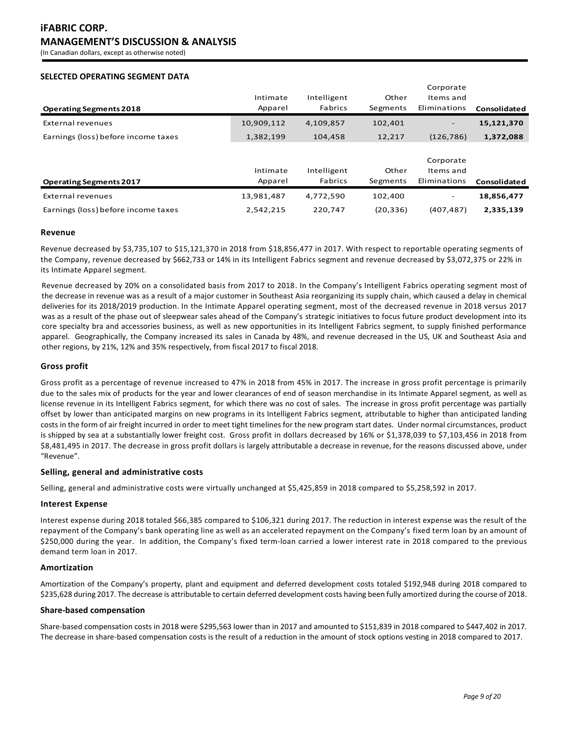# **SELECTED OPERATING SEGMENT DATA**

|                                     |            |             |           | Corporate                |              |
|-------------------------------------|------------|-------------|-----------|--------------------------|--------------|
|                                     | Intimate   | Intelligent | Other     | Items and                |              |
| <b>Operating Segments 2018</b>      | Apparel    | Fabrics     | Segments  | Eliminations             | Consolidated |
| External revenues                   | 10,909,112 | 4,109,857   | 102,401   | $\overline{\phantom{a}}$ | 15,121,370   |
| Earnings (loss) before income taxes | 1,382,199  | 104,458     | 12,217    | (126, 786)               | 1,372,088    |
|                                     |            |             |           |                          |              |
|                                     |            |             |           | Corporate                |              |
|                                     | Intimate   | Intelligent | Other     | Items and                |              |
| <b>Operating Segments 2017</b>      | Apparel    | Fabrics     | Segments  | Eliminations             | Consolidated |
| External revenues                   | 13,981,487 | 4,772,590   | 102.400   | $\overline{\phantom{a}}$ | 18,856,477   |
| Earnings (loss) before income taxes | 2.542.215  | 220,747     | (20, 336) | (407, 487)               | 2,335,139    |

## **Revenue**

Revenue decreased by \$3,735,107 to \$15,121,370 in 2018 from \$18,856,477 in 2017. With respect to reportable operating segments of the Company, revenue decreased by \$662,733 or 14% in its Intelligent Fabrics segment and revenue decreased by \$3,072,375 or 22% in its Intimate Apparel segment.

Revenue decreased by 20% on a consolidated basis from 2017 to 2018. In the Company's Intelligent Fabrics operating segment most of the decrease in revenue was as a result of a major customer in Southeast Asia reorganizing its supply chain, which caused a delay in chemical deliveries for its 2018/2019 production. In the Intimate Apparel operating segment, most of the decreased revenue in 2018 versus 2017 was as a result of the phase out of sleepwear sales ahead of the Company's strategic initiatives to focus future product development into its core specialty bra and accessories business, as well as new opportunities in its Intelligent Fabrics segment, to supply finished performance apparel. Geographically, the Company increased its sales in Canada by 48%, and revenue decreased in the US, UK and Southeast Asia and other regions, by 21%, 12% and 35% respectively, from fiscal 2017 to fiscal 2018.

# **Gross profit**

Gross profit as a percentage of revenue increased to 47% in 2018 from 45% in 2017. The increase in gross profit percentage is primarily due to the sales mix of products for the year and lower clearances of end of season merchandise in its Intimate Apparel segment, as well as license revenue in its Intelligent Fabrics segment, for which there was no cost of sales. The increase in gross profit percentage was partially offset by lower than anticipated margins on new programs in its Intelligent Fabrics segment, attributable to higher than anticipated landing costs in the form of air freight incurred in order to meet tight timelines for the new program start dates. Under normal circumstances, product is shipped by sea at a substantially lower freight cost. Gross profit in dollars decreased by 16% or \$1,378,039 to \$7,103,456 in 2018 from \$8,481,495 in 2017. The decrease in gross profit dollars is largely attributable a decrease in revenue, for the reasons discussed above, under "Revenue".

# **Selling, general and administrative costs**

Selling, general and administrative costs were virtually unchanged at \$5,425,859 in 2018 compared to \$5,258,592 in 2017.

## **Interest Expense**

Interest expense during 2018 totaled \$66,385 compared to \$106,321 during 2017. The reduction in interest expense was the result of the repayment of the Company's bank operating line as well as an accelerated repayment on the Company's fixed term loan by an amount of \$250,000 during the year. In addition, the Company's fixed term-loan carried a lower interest rate in 2018 compared to the previous demand term loan in 2017.

## **Amortization**

Amortization of the Company's property, plant and equipment and deferred development costs totaled \$192,948 during 2018 compared to \$235,628 during 2017. The decrease is attributable to certain deferred development costs having been fully amortized during the course of 2018.

## **Share-based compensation**

Share-based compensation costs in 2018 were \$295,563 lower than in 2017 and amounted to \$151,839 in 2018 compared to \$447,402 in 2017. The decrease in share-based compensation costs is the result of a reduction in the amount of stock options vesting in 2018 compared to 2017.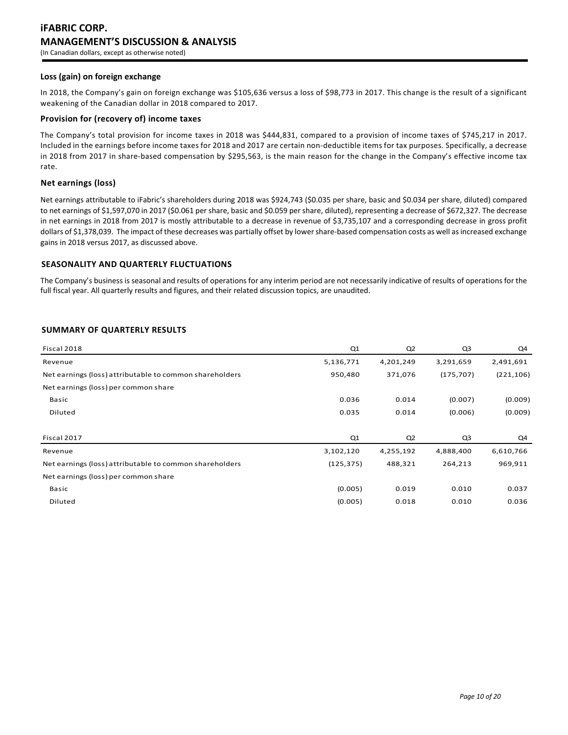## **Loss (gain) on foreign exchange**

In 2018, the Company's gain on foreign exchange was \$105,636 versus a loss of \$98,773 in 2017. This change is the result of a significant weakening of the Canadian dollar in 2018 compared to 2017.

## **Provision for (recovery of) income taxes**

The Company's total provision for income taxes in 2018 was \$444,831, compared to a provision of income taxes of \$745,217 in 2017. Included in the earnings before income taxes for 2018 and 2017 are certain non-deductible items for tax purposes. Specifically, a decrease in 2018 from 2017 in share-based compensation by \$295,563, is the main reason for the change in the Company's effective income tax rate.

# **Net earnings (loss)**

Net earnings attributable to iFabric's shareholders during 2018 was \$924,743 (\$0.035 per share, basic and \$0.034 per share, diluted) compared to net earnings of \$1,597,070 in 2017 (\$0.061 per share, basic and \$0.059 per share, diluted), representing a decrease of \$672,327. The decrease in net earnings in 2018 from 2017 is mostly attributable to a decrease in revenue of \$3,735,107 and a corresponding decrease in gross profit dollars of \$1,378,039. The impact of these decreases was partially offset by lowershare-based compensation costs as well as increased exchange gains in 2018 versus 2017, as discussed above.

## **SEASONALITY AND QUARTERLY FLUCTUATIONS**

The Company's business is seasonal and results of operations for any interim period are not necessarily indicative of results of operations for the full fiscal year. All quarterly results and figures, and their related discussion topics, are unaudited.

# **SUMMARY OF QUARTERLY RESULTS**

| Fiscal 2018                                             | Q1         | Q <sub>2</sub> | Q3         | Q4         |
|---------------------------------------------------------|------------|----------------|------------|------------|
| Revenue                                                 | 5,136,771  | 4,201,249      | 3,291,659  | 2,491,691  |
| Net earnings (loss) attributable to common shareholders | 950,480    | 371,076        | (175, 707) | (221, 106) |
| Net earnings (loss) per common share                    |            |                |            |            |
| Basic                                                   | 0.036      | 0.014          | (0.007)    | (0.009)    |
| Diluted                                                 | 0.035      | 0.014          | (0.006)    | (0.009)    |
|                                                         |            |                |            |            |
| Fiscal 2017                                             | Q1         | Q <sub>2</sub> | Q3         | Q4         |
| Revenue                                                 | 3,102,120  | 4,255,192      | 4,888,400  | 6,610,766  |
| Net earnings (loss) attributable to common shareholders | (125, 375) | 488,321        | 264,213    | 969,911    |
| Net earnings (loss) per common share                    |            |                |            |            |
| Basic                                                   | (0.005)    | 0.019          | 0.010      | 0.037      |
| Diluted                                                 | (0.005)    | 0.018          | 0.010      | 0.036      |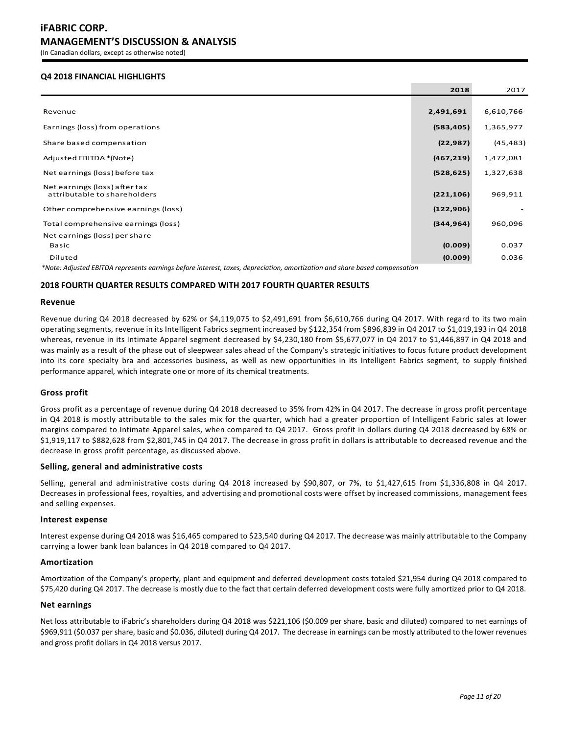# **Q4 2018 FINANCIAL HIGHLIGHTS**

|                                                                                                                            | 2018       | 2017      |
|----------------------------------------------------------------------------------------------------------------------------|------------|-----------|
|                                                                                                                            |            |           |
| Revenue                                                                                                                    | 2,491,691  | 6,610,766 |
| Earnings (loss) from operations                                                                                            | (583, 405) | 1,365,977 |
| Share based compensation                                                                                                   | (22, 987)  | (45, 483) |
| Adjusted EBITDA *(Note)                                                                                                    | (467, 219) | 1,472,081 |
| Net earnings (loss) before tax                                                                                             | (528, 625) | 1,327,638 |
| Net earnings (loss) after tax<br>attributable to shareholders                                                              | (221, 106) | 969,911   |
| Other comprehensive earnings (loss)                                                                                        | (122, 906) |           |
| Total comprehensive earnings (loss)                                                                                        | (344, 964) | 960,096   |
| Net earnings (loss) per share                                                                                              |            |           |
| Basic                                                                                                                      | (0.009)    | 0.037     |
| Diluted                                                                                                                    | (0.009)    | 0.036     |
| *Note: Adjusted EBITDA represents earnings before interest, taxes, depreciation, amortization and share based compensation |            |           |

## **2018 FOURTH QUARTER RESULTS COMPARED WITH 2017 FOURTH QUARTER RESULTS**

#### **Revenue**

Revenue during Q4 2018 decreased by 62% or \$4,119,075 to \$2,491,691 from \$6,610,766 during Q4 2017. With regard to its two main operating segments, revenue in its Intelligent Fabrics segment increased by \$122,354 from \$896,839 in Q4 2017 to \$1,019,193 in Q4 2018 whereas, revenue in its Intimate Apparel segment decreased by \$4,230,180 from \$5,677,077 in Q4 2017 to \$1,446,897 in Q4 2018 and was mainly as a result of the phase out of sleepwear sales ahead of the Company's strategic initiatives to focus future product development into its core specialty bra and accessories business, as well as new opportunities in its Intelligent Fabrics segment, to supply finished performance apparel, which integrate one or more of its chemical treatments.

## **Gross profit**

Gross profit as a percentage of revenue during Q4 2018 decreased to 35% from 42% in Q4 2017. The decrease in gross profit percentage in Q4 2018 is mostly attributable to the sales mix for the quarter, which had a greater proportion of Intelligent Fabric sales at lower margins compared to Intimate Apparel sales, when compared to Q4 2017. Gross profit in dollars during Q4 2018 decreased by 68% or \$1,919,117 to \$882,628 from \$2,801,745 in Q4 2017. The decrease in gross profit in dollars is attributable to decreased revenue and the decrease in gross profit percentage, as discussed above.

## **Selling, general and administrative costs**

Selling, general and administrative costs during Q4 2018 increased by \$90,807, or 7%, to \$1,427,615 from \$1,336,808 in Q4 2017. Decreases in professional fees, royalties, and advertising and promotional costs were offset by increased commissions, management fees and selling expenses.

## **Interest expense**

Interest expense during Q4 2018 was \$16,465 compared to \$23,540 during Q4 2017. The decrease was mainly attributable to the Company carrying a lower bank loan balances in Q4 2018 compared to Q4 2017.

#### **Amortization**

Amortization of the Company's property, plant and equipment and deferred development costs totaled \$21,954 during Q4 2018 compared to \$75,420 during Q4 2017. The decrease is mostly due to the fact that certain deferred development costs were fully amortized prior to Q4 2018.

## **Net earnings**

Net loss attributable to iFabric's shareholders during Q4 2018 was \$221,106 (\$0.009 per share, basic and diluted) compared to net earnings of \$969,911 (\$0.037 per share, basic and \$0.036, diluted) during Q4 2017. The decrease in earnings can be mostly attributed to the lower revenues and gross profit dollars in Q4 2018 versus 2017.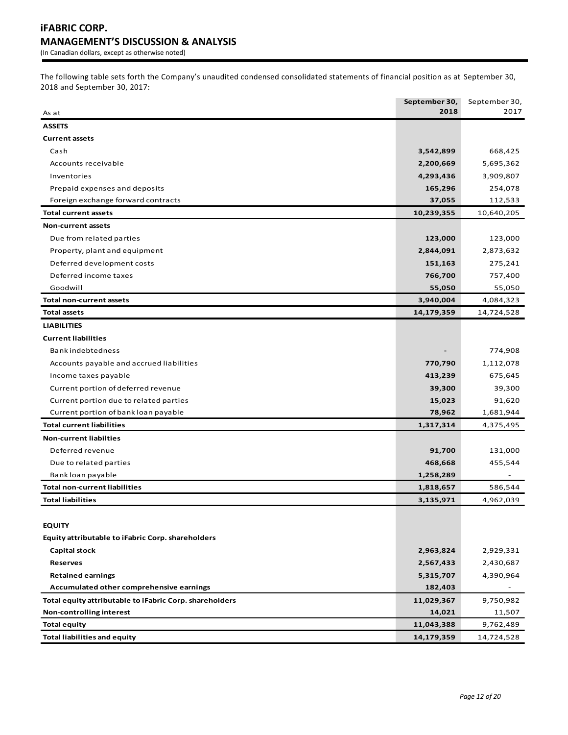The following table sets forth the Company's unaudited condensed consolidated statements of financial position as at September 30, 2018 and September 30, 2017:

|                                                         | September 30, | September 30, |
|---------------------------------------------------------|---------------|---------------|
| As at                                                   | 2018          | 2017          |
| <b>ASSETS</b>                                           |               |               |
| <b>Current assets</b>                                   |               |               |
| Cash                                                    | 3,542,899     | 668,425       |
| Accounts receivable                                     | 2,200,669     | 5,695,362     |
| Inventories                                             | 4,293,436     | 3,909,807     |
| Prepaid expenses and deposits                           | 165,296       | 254,078       |
| Foreign exchange forward contracts                      | 37,055        | 112,533       |
| <b>Total current assets</b>                             | 10,239,355    | 10,640,205    |
| <b>Non-current assets</b>                               |               |               |
| Due from related parties                                | 123,000       | 123,000       |
| Property, plant and equipment                           | 2,844,091     | 2,873,632     |
| Deferred development costs                              | 151,163       | 275,241       |
| Deferred income taxes                                   | 766,700       | 757,400       |
| Goodwill                                                | 55,050        | 55,050        |
| <b>Total non-current assets</b>                         | 3,940,004     | 4,084,323     |
| <b>Total assets</b>                                     | 14,179,359    | 14,724,528    |
| <b>LIABILITIES</b>                                      |               |               |
| <b>Current liabilities</b>                              |               |               |
| Bank indebtedness                                       |               | 774,908       |
| Accounts payable and accrued liabilities                | 770,790       | 1,112,078     |
| Income taxes payable                                    | 413,239       | 675,645       |
| Current portion of deferred revenue                     | 39,300        | 39,300        |
| Current portion due to related parties                  | 15,023        | 91,620        |
| Current portion of bank loan payable                    | 78,962        | 1,681,944     |
| <b>Total current liabilities</b>                        | 1,317,314     | 4,375,495     |
| <b>Non-current liabilties</b>                           |               |               |
| Deferred revenue                                        | 91,700        | 131,000       |
| Due to related parties                                  | 468,668       | 455,544       |
| Bank loan payable                                       | 1,258,289     |               |
| <b>Total non-current liabilities</b>                    | 1,818,657     | 586,544       |
| <b>Total liabilities</b>                                | 3,135,971     | 4,962,039     |
|                                                         |               |               |
| <b>EQUITY</b>                                           |               |               |
| Equity attributable to iFabric Corp. shareholders       |               |               |
| <b>Capital stock</b>                                    | 2,963,824     | 2,929,331     |
| <b>Reserves</b>                                         | 2,567,433     | 2,430,687     |
| <b>Retained earnings</b>                                | 5,315,707     | 4,390,964     |
| Accumulated other comprehensive earnings                | 182,403       |               |
| Total equity attributable to iFabric Corp. shareholders | 11,029,367    | 9,750,982     |
| Non-controlling interest                                | 14,021        | 11,507        |
| <b>Total equity</b>                                     | 11,043,388    | 9,762,489     |
| <b>Total liabilities and equity</b>                     | 14,179,359    | 14,724,528    |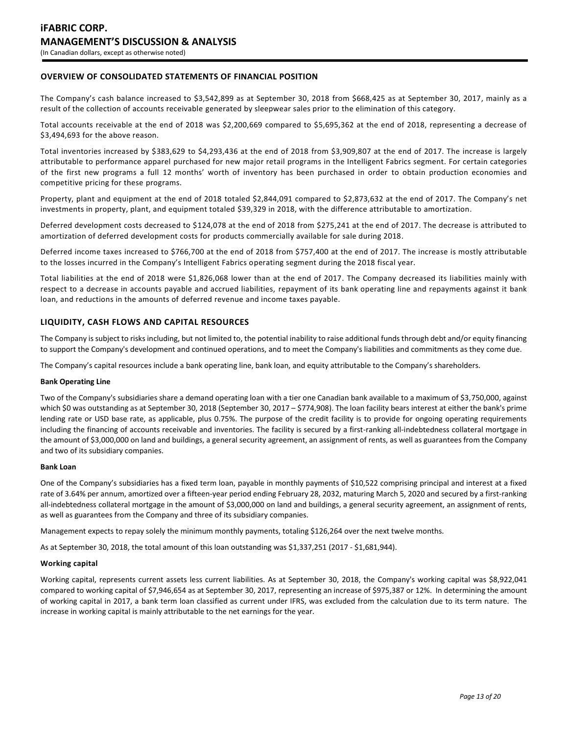# **OVERVIEW OF CONSOLIDATED STATEMENTS OF FINANCIAL POSITION**

The Company's cash balance increased to \$3,542,899 as at September 30, 2018 from \$668,425 as at September 30, 2017, mainly as a result of the collection of accounts receivable generated by sleepwear sales prior to the elimination of this category.

Total accounts receivable at the end of 2018 was \$2,200,669 compared to \$5,695,362 at the end of 2018, representing a decrease of \$3,494,693 for the above reason.

Total inventories increased by \$383,629 to \$4,293,436 at the end of 2018 from \$3,909,807 at the end of 2017. The increase is largely attributable to performance apparel purchased for new major retail programs in the Intelligent Fabrics segment. For certain categories of the first new programs a full 12 months' worth of inventory has been purchased in order to obtain production economies and competitive pricing for these programs.

Property, plant and equipment at the end of 2018 totaled \$2,844,091 compared to \$2,873,632 at the end of 2017. The Company's net investments in property, plant, and equipment totaled \$39,329 in 2018, with the difference attributable to amortization.

Deferred development costs decreased to \$124,078 at the end of 2018 from \$275,241 at the end of 2017. The decrease is attributed to amortization of deferred development costs for products commercially available for sale during 2018.

Deferred income taxes increased to \$766,700 at the end of 2018 from \$757,400 at the end of 2017. The increase is mostly attributable to the losses incurred in the Company's Intelligent Fabrics operating segment during the 2018 fiscal year.

Total liabilities at the end of 2018 were \$1,826,068 lower than at the end of 2017. The Company decreased its liabilities mainly with respect to a decrease in accounts payable and accrued liabilities, repayment of its bank operating line and repayments against it bank loan, and reductions in the amounts of deferred revenue and income taxes payable.

# **LIQUIDITY, CASH FLOWS AND CAPITAL RESOURCES**

The Company is subject to risks including, but not limited to, the potential inability to raise additional funds through debt and/or equity financing to support the Company's development and continued operations, and to meet the Company's liabilities and commitments as they come due.

The Company's capital resources include a bank operating line, bank loan, and equity attributable to the Company's shareholders.

## **Bank Operating Line**

Two of the Company's subsidiaries share a demand operating loan with a tier one Canadian bank available to a maximum of \$3,750,000, against which \$0 was outstanding as at September 30, 2018 (September 30, 2017 – \$774,908). The loan facility bears interest at either the bank's prime lending rate or USD base rate, as applicable, plus 0.75%. The purpose of the credit facility is to provide for ongoing operating requirements including the financing of accounts receivable and inventories. The facility is secured by a first-ranking all-indebtedness collateral mortgage in the amount of \$3,000,000 on land and buildings, a general security agreement, an assignment of rents, as well as guarantees from the Company and two of its subsidiary companies.

## **Bank Loan**

One of the Company's subsidiaries has a fixed term loan, payable in monthly payments of \$10,522 comprising principal and interest at a fixed rate of 3.64% per annum, amortized over a fifteen-year period ending February 28, 2032, maturing March 5, 2020 and secured by a first-ranking all-indebtedness collateral mortgage in the amount of \$3,000,000 on land and buildings, a general security agreement, an assignment of rents, as well as guarantees from the Company and three of its subsidiary companies.

Management expects to repay solely the minimum monthly payments, totaling \$126,264 over the next twelve months.

As at September 30, 2018, the total amount of this loan outstanding was \$1,337,251 (2017 - \$1,681,944).

#### **Working capital**

Working capital, represents current assets less current liabilities. As at September 30, 2018, the Company's working capital was \$8,922,041 compared to working capital of \$7,946,654 as at September 30, 2017, representing an increase of \$975,387 or 12%. In determining the amount of working capital in 2017, a bank term loan classified as current under IFRS, was excluded from the calculation due to its term nature. The increase in working capital is mainly attributable to the net earnings for the year.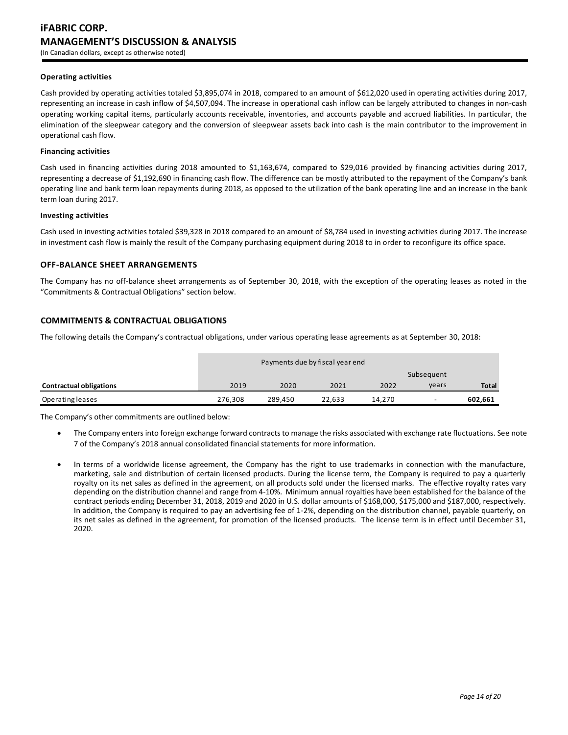## **Operating activities**

Cash provided by operating activities totaled \$3,895,074 in 2018, compared to an amount of \$612,020 used in operating activities during 2017, representing an increase in cash inflow of \$4,507,094. The increase in operational cash inflow can be largely attributed to changes in non-cash operating working capital items, particularly accounts receivable, inventories, and accounts payable and accrued liabilities. In particular, the elimination of the sleepwear category and the conversion of sleepwear assets back into cash is the main contributor to the improvement in operational cash flow.

#### **Financing activities**

Cash used in financing activities during 2018 amounted to \$1,163,674, compared to \$29,016 provided by financing activities during 2017, representing a decrease of \$1,192,690 in financing cash flow. The difference can be mostly attributed to the repayment of the Company's bank operating line and bank term loan repayments during 2018, as opposed to the utilization of the bank operating line and an increase in the bank term loan during 2017.

#### **Investing activities**

Cash used in investing activities totaled \$39,328 in 2018 compared to an amount of \$8,784 used in investing activities during 2017. The increase in investment cash flow is mainly the result of the Company purchasing equipment during 2018 to in order to reconfigure its office space.

# **OFF-BALANCE SHEET ARRANGEMENTS**

The Company has no off-balance sheet arrangements as of September 30, 2018, with the exception of the operating leases as noted in the "Commitments & Contractual Obligations" section below.

## **COMMITMENTS & CONTRACTUAL OBLIGATIONS**

The following details the Company's contractual obligations, under various operating lease agreements as at September 30, 2018:

|                                | Payments due by fiscal year end |         |        |        |                          |              |
|--------------------------------|---------------------------------|---------|--------|--------|--------------------------|--------------|
|                                |                                 |         |        |        | Subsequent               |              |
| <b>Contractual obligations</b> | 2019                            | 2020    | 2021   | 2022   | years                    | <b>Total</b> |
| Operating leases               | 276.308                         | 289.450 | 22,633 | 14.270 | $\overline{\phantom{0}}$ | 602,661      |

The Company's other commitments are outlined below:

- The Company enters into foreign exchange forward contracts to manage the risks associated with exchange rate fluctuations. See note 7 of the Company's 2018 annual consolidated financial statements for more information.
- In terms of a worldwide license agreement, the Company has the right to use trademarks in connection with the manufacture, marketing, sale and distribution of certain licensed products. During the license term, the Company is required to pay a quarterly royalty on its net sales as defined in the agreement, on all products sold under the licensed marks. The effective royalty rates vary depending on the distribution channel and range from 4-10%. Minimum annual royalties have been established for the balance of the contract periods ending December 31, 2018, 2019 and 2020 in U.S. dollar amounts of \$168,000, \$175,000 and \$187,000, respectively. In addition, the Company is required to pay an advertising fee of 1-2%, depending on the distribution channel, payable quarterly, on its net sales as defined in the agreement, for promotion of the licensed products. The license term is in effect until December 31, 2020.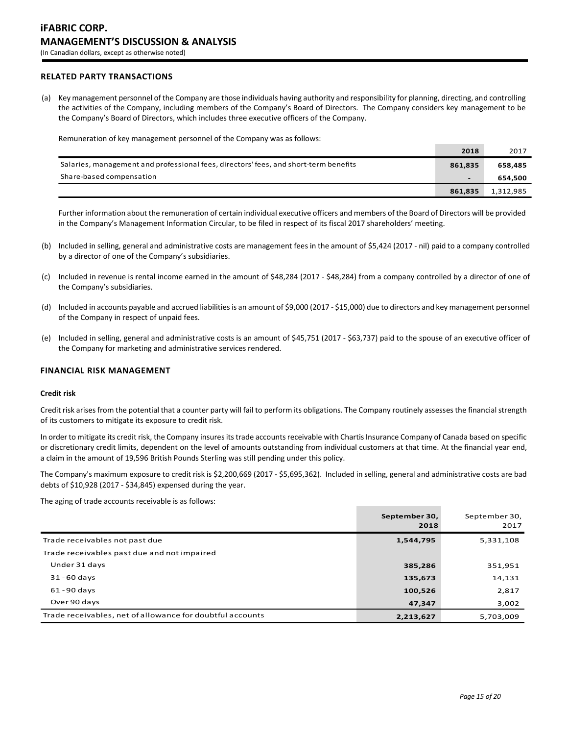# **RELATED PARTY TRANSACTIONS**

(a) Key management personnel of the Company are those individuals having authority and responsibility for planning, directing, and controlling the activities of the Company, including members of the Company's Board of Directors. The Company considers key management to be the Company's Board of Directors, which includes three executive officers of the Company.

Remuneration of key management personnel of the Company was as follows:

|                                                                                      | 2018                     | 2017      |
|--------------------------------------------------------------------------------------|--------------------------|-----------|
| Salaries, management and professional fees, directors' fees, and short-term benefits | 861.835                  | 658.485   |
| Share-based compensation                                                             | $\overline{\phantom{a}}$ | 654.500   |
|                                                                                      | 861.835                  | 1,312,985 |

Further information about the remuneration of certain individual executive officers and members of the Board of Directors will be provided in the Company's Management Information Circular, to be filed in respect of its fiscal 2017 shareholders' meeting.

- (b) Included in selling, general and administrative costs are management fees in the amount of \$5,424 (2017 nil) paid to a company controlled by a director of one of the Company's subsidiaries.
- (c) Included in revenue is rental income earned in the amount of \$48,284 (2017 \$48,284) from a company controlled by a director of one of the Company's subsidiaries.
- (d) Included in accounts payable and accrued liabilities is an amount of \$9,000 (2017 \$15,000) due to directors and key management personnel of the Company in respect of unpaid fees.
- (e) Included in selling, general and administrative costs is an amount of \$45,751 (2017 \$63,737) paid to the spouse of an executive officer of the Company for marketing and administrative services rendered.

## **FINANCIAL RISK MANAGEMENT**

#### **Credit risk**

Credit risk arises from the potential that a counter party will fail to perform its obligations. The Company routinely assesses the financial strength of its customers to mitigate its exposure to credit risk.

In order to mitigate its credit risk, the Company insures its trade accounts receivable with Chartis Insurance Company of Canada based on specific or discretionary credit limits, dependent on the level of amounts outstanding from individual customers at that time. At the financial year end, a claim in the amount of 19,596 British Pounds Sterling was still pending under this policy.

The Company's maximum exposure to credit risk is \$2,200,669 (2017 - \$5,695,362). Included in selling, general and administrative costs are bad debts of \$10,928 (2017 - \$34,845) expensed during the year.

The aging of trade accounts receivable is as follows:

|                                                           | September 30,<br>2018 | September 30,<br>2017 |
|-----------------------------------------------------------|-----------------------|-----------------------|
| Trade receivables not past due                            | 1,544,795             | 5,331,108             |
| Trade receivables past due and not impaired               |                       |                       |
| Under 31 days                                             | 385,286               | 351,951               |
| $31 - 60$ days                                            | 135,673               | 14,131                |
| $61 - 90$ days                                            | 100,526               | 2,817                 |
| Over 90 days                                              | 47,347                | 3,002                 |
| Trade receivables, net of allowance for doubtful accounts | 2,213,627             | 5,703,009             |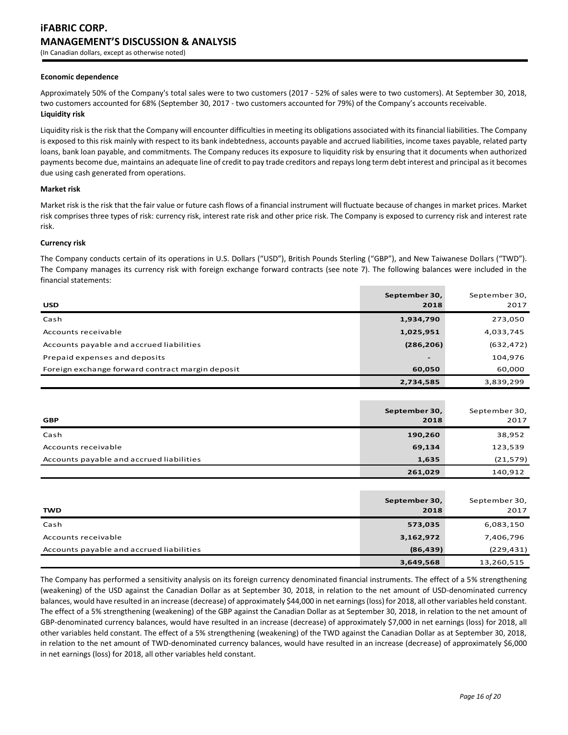# **iFABRIC CORP. MANAGEMENT'S DISCUSSION & ANALYSIS** (In Canadian dollars, except as otherwise noted)

#### **Economic dependence**

Approximately 50% of the Company's total sales were to two customers (2017 - 52% of sales were to two customers). At September 30, 2018, two customers accounted for 68% (September 30, 2017 - two customers accounted for 79%) of the Company's accounts receivable. **Liquidity risk**

Liquidity risk is the risk that the Company will encounter difficulties in meeting its obligations associated with its financial liabilities. The Company is exposed to this risk mainly with respect to its bank indebtedness, accounts payable and accrued liabilities, income taxes payable, related party loans, bank loan payable, and commitments. The Company reduces its exposure to liquidity risk by ensuring that it documents when authorized payments become due, maintains an adequate line of credit to pay trade creditors and repays long term debt interest and principal as it becomes due using cash generated from operations.

#### **Market risk**

Market risk is the risk that the fair value or future cash flows of a financial instrument will fluctuate because of changes in market prices. Market risk comprises three types of risk: currency risk, interest rate risk and other price risk. The Company is exposed to currency risk and interest rate risk.

#### **Currency risk**

The Company conducts certain of its operations in U.S. Dollars ("USD"), British Pounds Sterling ("GBP"), and New Taiwanese Dollars ("TWD"). The Company manages its currency risk with foreign exchange forward contracts (see note 7). The following balances were included in the financial statements:

| <b>USD</b>                                       | September 30,<br>2018    | September 30,<br>2017 |
|--------------------------------------------------|--------------------------|-----------------------|
| Cash                                             | 1,934,790                | 273,050               |
| Accounts receivable                              | 1,025,951                | 4,033,745             |
| Accounts payable and accrued liabilities         | (286, 206)               | (632, 472)            |
| Prepaid expenses and deposits                    | $\overline{\phantom{0}}$ | 104,976               |
| Foreign exchange forward contract margin deposit | 60,050                   | 60,000                |
|                                                  | 2,734,585                | 3,839,299             |

| <b>GBP</b>                               | September 30,<br>2018 | September 30,<br>2017 |
|------------------------------------------|-----------------------|-----------------------|
| Cash                                     | 190,260               | 38,952                |
| Accounts receivable                      | 69,134                | 123,539               |
| Accounts payable and accrued liabilities | 1,635                 | (21, 579)             |
|                                          | 261,029               | 140,912               |

| <b>TWD</b>                               | September 30,<br>2018 | September 30,<br>2017 |
|------------------------------------------|-----------------------|-----------------------|
| Cash                                     | 573,035               | 6,083,150             |
| Accounts receivable                      | 3,162,972             | 7,406,796             |
| Accounts payable and accrued liabilities | (86, 439)             | (229, 431)            |
|                                          | 3,649,568             | 13,260,515            |

The Company has performed a sensitivity analysis on its foreign currency denominated financial instruments. The effect of a 5% strengthening (weakening) of the USD against the Canadian Dollar as at September 30, 2018, in relation to the net amount of USD-denominated currency balances, would have resulted in an increase (decrease) of approximately \$44,000 in net earnings (loss) for 2018, all other variables held constant. The effect of a 5% strengthening (weakening) of the GBP against the Canadian Dollar as at September 30, 2018, in relation to the net amount of GBP-denominated currency balances, would have resulted in an increase (decrease) of approximately \$7,000 in net earnings (loss) for 2018, all other variables held constant. The effect of a 5% strengthening (weakening) of the TWD against the Canadian Dollar as at September 30, 2018, in relation to the net amount of TWD-denominated currency balances, would have resulted in an increase (decrease) of approximately \$6,000 in net earnings (loss) for 2018, all other variables held constant.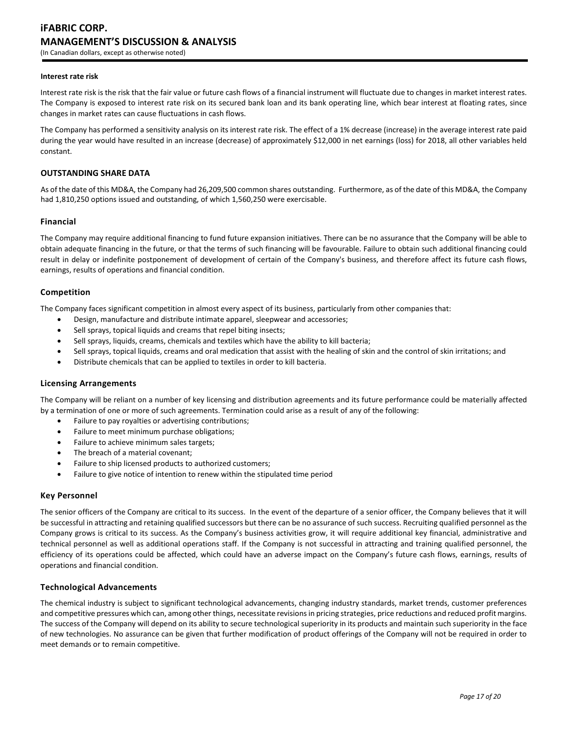# **iFABRIC CORP. MANAGEMENT'S DISCUSSION & ANALYSIS** (In Canadian dollars, except as otherwise noted)

#### **Interest rate risk**

Interest rate risk is the risk that the fair value or future cash flows of a financial instrument will fluctuate due to changes in market interest rates. The Company is exposed to interest rate risk on its secured bank loan and its bank operating line, which bear interest at floating rates, since changes in market rates can cause fluctuations in cash flows.

The Company has performed a sensitivity analysis on its interest rate risk. The effect of a 1% decrease (increase) in the average interest rate paid during the year would have resulted in an increase (decrease) of approximately \$12,000 in net earnings (loss) for 2018, all other variables held constant.

## **OUTSTANDING SHARE DATA**

As of the date of this MD&A, the Company had 26,209,500 common shares outstanding. Furthermore, as of the date of this MD&A, the Company had 1,810,250 options issued and outstanding, of which 1,560,250 were exercisable.

## **Financial**

The Company may require additional financing to fund future expansion initiatives. There can be no assurance that the Company will be able to obtain adequate financing in the future, or that the terms of such financing will be favourable. Failure to obtain such additional financing could result in delay or indefinite postponement of development of certain of the Company's business, and therefore affect its future cash flows, earnings, results of operations and financial condition.

## **Competition**

The Company faces significant competition in almost every aspect of its business, particularly from other companies that:

- Design, manufacture and distribute intimate apparel, sleepwear and accessories;
- Sell sprays, topical liquids and creams that repel biting insects;
- Sell sprays, liquids, creams, chemicals and textiles which have the ability to kill bacteria;
- Sell sprays, topical liquids, creams and oral medication that assist with the healing of skin and the control of skin irritations; and
- Distribute chemicals that can be applied to textiles in order to kill bacteria.

## **Licensing Arrangements**

The Company will be reliant on a number of key licensing and distribution agreements and its future performance could be materially affected by a termination of one or more of such agreements. Termination could arise as a result of any of the following:

- Failure to pay royalties or advertising contributions;
- Failure to meet minimum purchase obligations;
- Failure to achieve minimum sales targets;
- The breach of a material covenant;
- Failure to ship licensed products to authorized customers;
- Failure to give notice of intention to renew within the stipulated time period

## **Key Personnel**

The senior officers of the Company are critical to its success. In the event of the departure of a senior officer, the Company believes that it will be successful in attracting and retaining qualified successors but there can be no assurance of such success. Recruiting qualified personnel as the Company grows is critical to its success. As the Company's business activities grow, it will require additional key financial, administrative and technical personnel as well as additional operations staff. If the Company is not successful in attracting and training qualified personnel, the efficiency of its operations could be affected, which could have an adverse impact on the Company's future cash flows, earnings, results of operations and financial condition.

## **Technological Advancements**

The chemical industry is subject to significant technological advancements, changing industry standards, market trends, customer preferences and competitive pressures which can, among other things, necessitate revisions in pricing strategies, price reductions and reduced profit margins. The success of the Company will depend on its ability to secure technological superiority in its products and maintain such superiority in the face of new technologies. No assurance can be given that further modification of product offerings of the Company will not be required in order to meet demands or to remain competitive.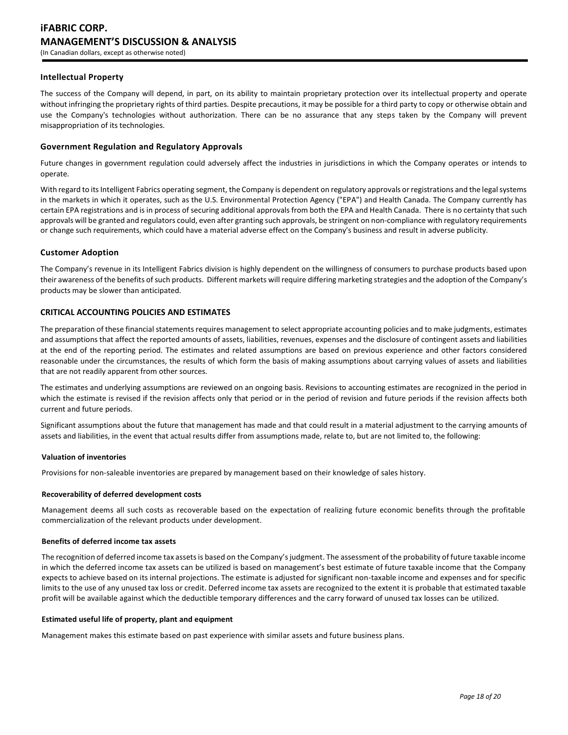## **Intellectual Property**

The success of the Company will depend, in part, on its ability to maintain proprietary protection over its intellectual property and operate without infringing the proprietary rights of third parties. Despite precautions, it may be possible for a third party to copy or otherwise obtain and use the Company's technologies without authorization. There can be no assurance that any steps taken by the Company will prevent misappropriation of its technologies.

## **Government Regulation and Regulatory Approvals**

Future changes in government regulation could adversely affect the industries in jurisdictions in which the Company operates or intends to operate.

With regard to its Intelligent Fabrics operating segment, the Company is dependent on regulatory approvals or registrations and the legal systems in the markets in which it operates, such as the U.S. Environmental Protection Agency ("EPA") and Health Canada. The Company currently has certain EPA registrations and is in process of securing additional approvals from both the EPA and Health Canada. There is no certainty that such approvals will be granted and regulators could, even after granting such approvals, be stringent on non-compliance with regulatory requirements or change such requirements, which could have a material adverse effect on the Company's business and result in adverse publicity.

## **Customer Adoption**

The Company's revenue in its Intelligent Fabrics division is highly dependent on the willingness of consumers to purchase products based upon their awareness of the benefits of such products. Different markets will require differing marketing strategies and the adoption of the Company's products may be slower than anticipated.

## **CRITICAL ACCOUNTING POLICIES AND ESTIMATES**

The preparation of these financial statements requires management to select appropriate accounting policies and to make judgments, estimates and assumptions that affect the reported amounts of assets, liabilities, revenues, expenses and the disclosure of contingent assets and liabilities at the end of the reporting period. The estimates and related assumptions are based on previous experience and other factors considered reasonable under the circumstances, the results of which form the basis of making assumptions about carrying values of assets and liabilities that are not readily apparent from other sources.

The estimates and underlying assumptions are reviewed on an ongoing basis. Revisions to accounting estimates are recognized in the period in which the estimate is revised if the revision affects only that period or in the period of revision and future periods if the revision affects both current and future periods.

Significant assumptions about the future that management has made and that could result in a material adjustment to the carrying amounts of assets and liabilities, in the event that actual results differ from assumptions made, relate to, but are not limited to, the following:

## **Valuation of inventories**

Provisions for non-saleable inventories are prepared by management based on their knowledge of sales history.

#### **Recoverability of deferred development costs**

Management deems all such costs as recoverable based on the expectation of realizing future economic benefits through the profitable commercialization of the relevant products under development.

## **Benefits of deferred income tax assets**

The recognition of deferred income tax assets is based on the Company's judgment. The assessment of the probability of future taxable income in which the deferred income tax assets can be utilized is based on management's best estimate of future taxable income that the Company expects to achieve based on its internal projections. The estimate is adjusted for significant non-taxable income and expenses and for specific limits to the use of any unused tax loss or credit. Deferred income tax assets are recognized to the extent it is probable that estimated taxable profit will be available against which the deductible temporary differences and the carry forward of unused tax losses can be utilized.

#### **Estimated useful life of property, plant and equipment**

Management makes this estimate based on past experience with similar assets and future business plans.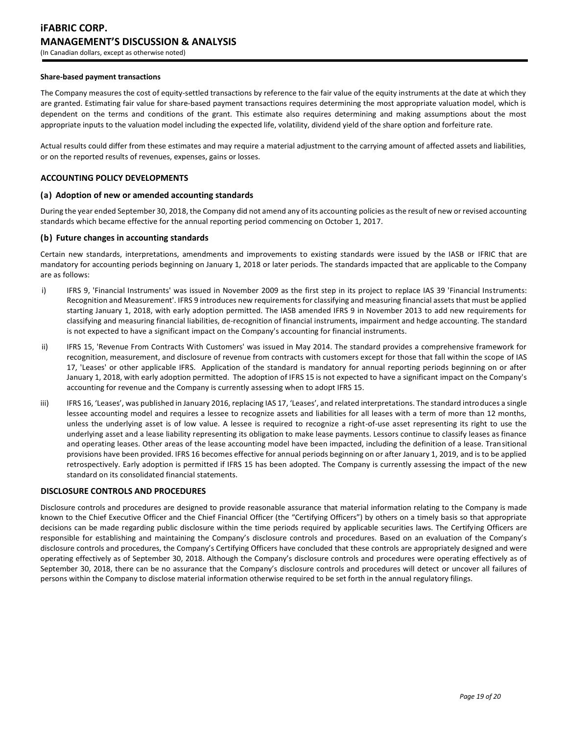#### **Share-based payment transactions**

The Company measures the cost of equity-settled transactions by reference to the fair value of the equity instruments at the date at which they are granted. Estimating fair value for share-based payment transactions requires determining the most appropriate valuation model, which is dependent on the terms and conditions of the grant. This estimate also requires determining and making assumptions about the most appropriate inputs to the valuation model including the expected life, volatility, dividend yield of the share option and forfeiture rate.

Actual results could differ from these estimates and may require a material adjustment to the carrying amount of affected assets and liabilities, or on the reported results of revenues, expenses, gains or losses.

## **ACCOUNTING POLICY DEVELOPMENTS**

## **(a) Adoption of new or amended accounting standards**

During the year ended September 30, 2018, the Company did not amend any of its accounting policies as the result of new or revised accounting standards which became effective for the annual reporting period commencing on October 1, 2017.

## **(b) Future changes in accounting standards**

Certain new standards, interpretations, amendments and improvements to existing standards were issued by the IASB or IFRIC that are mandatory for accounting periods beginning on January 1, 2018 or later periods. The standards impacted that are applicable to the Company are as follows:

- i) IFRS 9, 'Financial Instruments' was issued in November 2009 as the first step in its project to replace IAS 39 'Financial Instruments: Recognition and Measurement'. IFRS 9 introduces new requirements for classifying and measuring financial assets that must be applied starting January 1, 2018, with early adoption permitted. The IASB amended IFRS 9 in November 2013 to add new requirements for classifying and measuring financial liabilities, de-recognition of financial instruments, impairment and hedge accounting. The standard is not expected to have a significant impact on the Company's accounting for financial instruments.
- ii) IFRS 15, 'Revenue From Contracts With Customers' was issued in May 2014. The standard provides a comprehensive framework for recognition, measurement, and disclosure of revenue from contracts with customers except for those that fall within the scope of IAS 17, 'Leases' or other applicable IFRS. Application of the standard is mandatory for annual reporting periods beginning on or after January 1, 2018, with early adoption permitted. The adoption of IFRS 15 is not expected to have a significant impact on the Company's accounting for revenue and the Company is currently assessing when to adopt IFRS 15.
- iii) IFRS 16, 'Leases', was published in January 2016, replacing IAS 17, 'Leases', and related interpretations. The standard introduces a single lessee accounting model and requires a lessee to recognize assets and liabilities for all leases with a term of more than 12 months, unless the underlying asset is of low value. A lessee is required to recognize a right-of-use asset representing its right to use the underlying asset and a lease liability representing its obligation to make lease payments. Lessors continue to classify leases as finance and operating leases. Other areas of the lease accounting model have been impacted, including the definition of a lease. Transitional provisions have been provided. IFRS 16 becomes effective for annual periods beginning on or after January 1, 2019, and is to be applied retrospectively. Early adoption is permitted if IFRS 15 has been adopted. The Company is currently assessing the impact of the new standard on its consolidated financial statements.

## **DISCLOSURE CONTROLS AND PROCEDURES**

Disclosure controls and procedures are designed to provide reasonable assurance that material information relating to the Company is made known to the Chief Executive Officer and the Chief Financial Officer (the "Certifying Officers") by others on a timely basis so that appropriate decisions can be made regarding public disclosure within the time periods required by applicable securities laws. The Certifying Officers are responsible for establishing and maintaining the Company's disclosure controls and procedures. Based on an evaluation of the Company's disclosure controls and procedures, the Company's Certifying Officers have concluded that these controls are appropriately designed and were operating effectively as of September 30, 2018. Although the Company's disclosure controls and procedures were operating effectively as of September 30, 2018, there can be no assurance that the Company's disclosure controls and procedures will detect or uncover all failures of persons within the Company to disclose material information otherwise required to be set forth in the annual regulatory filings.